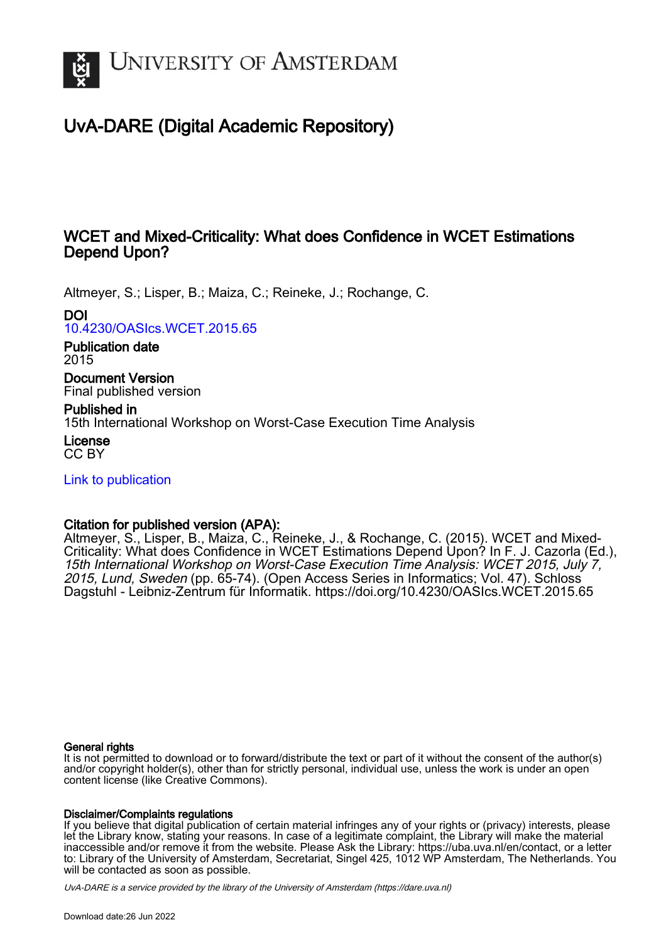

# UvA-DARE (Digital Academic Repository)

# WCET and Mixed-Criticality: What does Confidence in WCET Estimations Depend Upon?

Altmeyer, S.; Lisper, B.; Maiza, C.; Reineke, J.; Rochange, C.

DOI

[10.4230/OASIcs.WCET.2015.65](https://doi.org/10.4230/OASIcs.WCET.2015.65)

Publication date 2015

Document Version Final published version

Published in 15th International Workshop on Worst-Case Execution Time Analysis

License CC BY

[Link to publication](https://dare.uva.nl/personal/pure/en/publications/wcet-and-mixedcriticality-what-does-confidence-in-wcet-estimations-depend-upon(5c6748c2-c0ac-42a1-bd45-71d066f3a38e).html)

# Citation for published version (APA):

Altmeyer, S., Lisper, B., Maiza, C., Reineke, J., & Rochange, C. (2015). WCET and Mixed-Criticality: What does Confidence in WCET Estimations Depend Upon? In F. J. Cazorla (Ed.), 15th International Workshop on Worst-Case Execution Time Analysis: WCET 2015, July 7, 2015, Lund, Sweden (pp. 65-74). (Open Access Series in Informatics; Vol. 47). Schloss Dagstuhl - Leibniz-Zentrum für Informatik. <https://doi.org/10.4230/OASIcs.WCET.2015.65>

#### General rights

It is not permitted to download or to forward/distribute the text or part of it without the consent of the author(s) and/or copyright holder(s), other than for strictly personal, individual use, unless the work is under an open content license (like Creative Commons).

#### Disclaimer/Complaints regulations

If you believe that digital publication of certain material infringes any of your rights or (privacy) interests, please let the Library know, stating your reasons. In case of a legitimate complaint, the Library will make the material inaccessible and/or remove it from the website. Please Ask the Library: https://uba.uva.nl/en/contact, or a letter to: Library of the University of Amsterdam, Secretariat, Singel 425, 1012 WP Amsterdam, The Netherlands. You will be contacted as soon as possible.

UvA-DARE is a service provided by the library of the University of Amsterdam (http*s*://dare.uva.nl)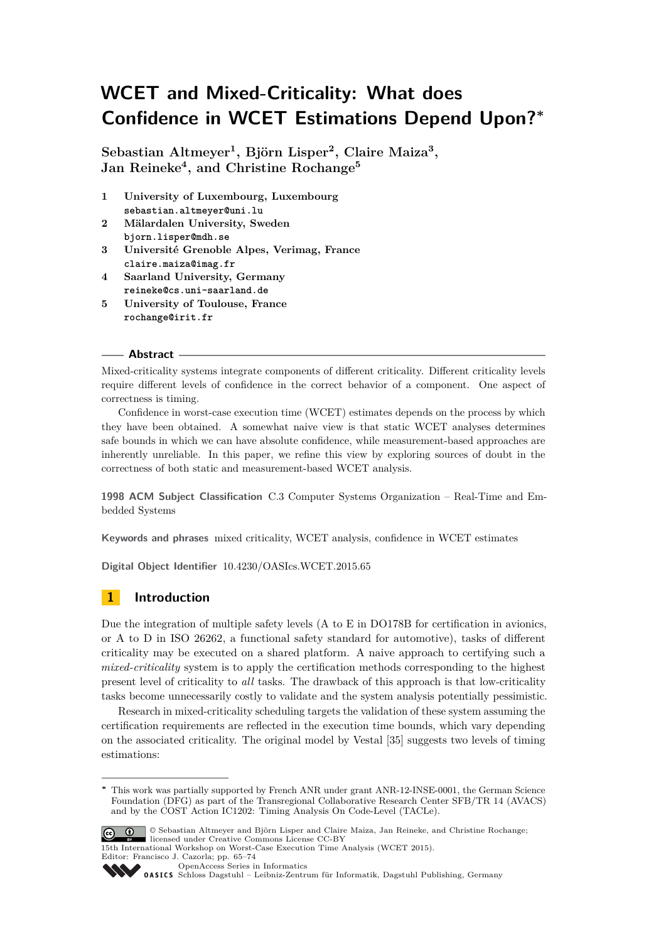# **WCET and Mixed-Criticality: What does Confidence in WCET Estimations Depend Upon?<sup>∗</sup>**

**Sebastian Altmeyer<sup>1</sup> , Björn Lisper<sup>2</sup> , Claire Maiza<sup>3</sup> , Jan Reineke<sup>4</sup> , and Christine Rochange<sup>5</sup>**

- **1 University of Luxembourg, Luxembourg sebastian.altmeyer@uni.lu**
- **2 Mälardalen University, Sweden bjorn.lisper@mdh.se**
- **3 Université Grenoble Alpes, Verimag, France claire.maiza@imag.fr**
- **4 Saarland University, Germany reineke@cs.uni-saarland.de**
- **5 University of Toulouse, France rochange@irit.fr**

#### **Abstract**

Mixed-criticality systems integrate components of different criticality. Different criticality levels require different levels of confidence in the correct behavior of a component. One aspect of correctness is timing.

Confidence in worst-case execution time (WCET) estimates depends on the process by which they have been obtained. A somewhat naive view is that static WCET analyses determines safe bounds in which we can have absolute confidence, while measurement-based approaches are inherently unreliable. In this paper, we refine this view by exploring sources of doubt in the correctness of both static and measurement-based WCET analysis.

**1998 ACM Subject Classification** C.3 Computer Systems Organization – Real-Time and Embedded Systems

**Keywords and phrases** mixed criticality, WCET analysis, confidence in WCET estimates

**Digital Object Identifier** [10.4230/OASIcs.WCET.2015.65](http://dx.doi.org/10.4230/OASIcs.WCET.2015.65)

## **1 Introduction**

Due the integration of multiple safety levels (A to E in DO178B for certification in avionics, or A to D in ISO 26262, a functional safety standard for automotive), tasks of different criticality may be executed on a shared platform. A naive approach to certifying such a *mixed-criticality* system is to apply the certification methods corresponding to the highest present level of criticality to *all* tasks. The drawback of this approach is that low-criticality tasks become unnecessarily costly to validate and the system analysis potentially pessimistic.

Research in mixed-criticality scheduling targets the validation of these system assuming the certification requirements are reflected in the execution time bounds, which vary depending on the associated criticality. The original model by Vestal [\[35\]](#page-10-0) suggests two levels of timing estimations:

**<sup>∗</sup>** This work was partially supported by French ANR under grant ANR-12-INSE-0001, the German Science Foundation (DFG) as part of the Transregional Collaborative Research Center SFB/TR 14 (AVACS) and by the COST Action IC1202: Timing Analysis On Code-Level (TACLe).



15th International Workshop on Worst-Case Execution Time Analysis (WCET 2015). Editor: Francisco J. Cazorla; pp. 65[–74](#page-10-1)

[OpenAccess Series in Informatics](http://www.dagstuhl.de/oasics/)

[Schloss Dagstuhl – Leibniz-Zentrum für Informatik, Dagstuhl Publishing, Germany](http://www.dagstuhl.de/)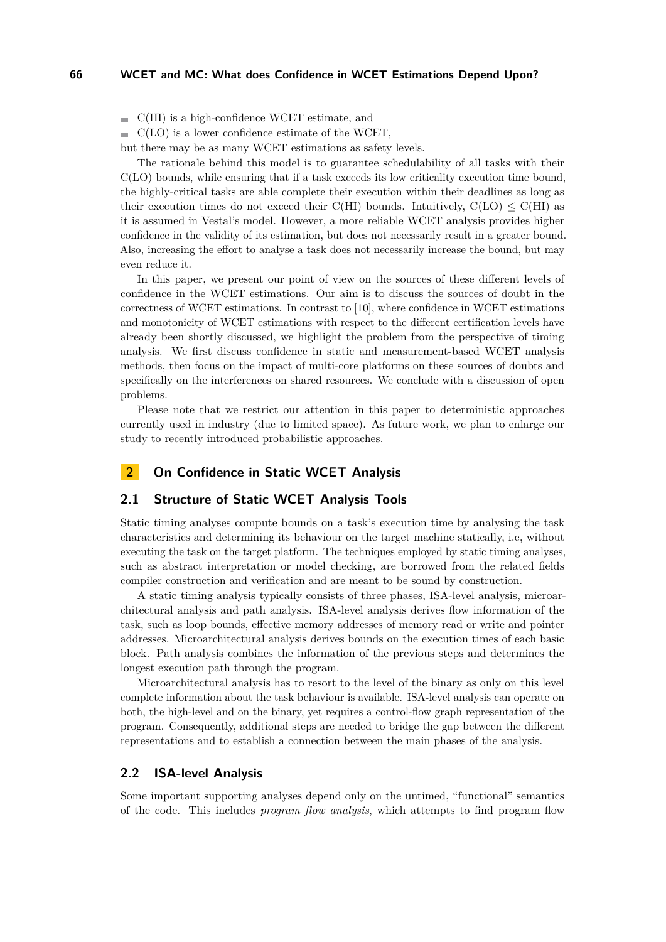$\blacksquare$  C(HI) is a high-confidence WCET estimate, and

 $\blacksquare$  C(LO) is a lower confidence estimate of the WCET,

but there may be as many WCET estimations as safety levels.

The rationale behind this model is to guarantee schedulability of all tasks with their C(LO) bounds, while ensuring that if a task exceeds its low criticality execution time bound, the highly-critical tasks are able complete their execution within their deadlines as long as their execution times do not exceed their C(HI) bounds. Intuitively,  $C(LO) \leq C(HI)$  as it is assumed in Vestal's model. However, a more reliable WCET analysis provides higher confidence in the validity of its estimation, but does not necessarily result in a greater bound. Also, increasing the effort to analyse a task does not necessarily increase the bound, but may even reduce it.

In this paper, we present our point of view on the sources of these different levels of confidence in the WCET estimations. Our aim is to discuss the sources of doubt in the correctness of WCET estimations. In contrast to [\[10\]](#page-9-0), where confidence in WCET estimations and monotonicity of WCET estimations with respect to the different certification levels have already been shortly discussed, we highlight the problem from the perspective of timing analysis. We first discuss confidence in static and measurement-based WCET analysis methods, then focus on the impact of multi-core platforms on these sources of doubts and specifically on the interferences on shared resources. We conclude with a discussion of open problems.

Please note that we restrict our attention in this paper to deterministic approaches currently used in industry (due to limited space). As future work, we plan to enlarge our study to recently introduced probabilistic approaches.

### **2 On Confidence in Static WCET Analysis**

#### **2.1 Structure of Static WCET Analysis Tools**

Static timing analyses compute bounds on a task's execution time by analysing the task characteristics and determining its behaviour on the target machine statically, i.e, without executing the task on the target platform. The techniques employed by static timing analyses, such as abstract interpretation or model checking, are borrowed from the related fields compiler construction and verification and are meant to be sound by construction.

A static timing analysis typically consists of three phases, ISA-level analysis, microarchitectural analysis and path analysis. ISA-level analysis derives flow information of the task, such as loop bounds, effective memory addresses of memory read or write and pointer addresses. Microarchitectural analysis derives bounds on the execution times of each basic block. Path analysis combines the information of the previous steps and determines the longest execution path through the program.

Microarchitectural analysis has to resort to the level of the binary as only on this level complete information about the task behaviour is available. ISA-level analysis can operate on both, the high-level and on the binary, yet requires a control-flow graph representation of the program. Consequently, additional steps are needed to bridge the gap between the different representations and to establish a connection between the main phases of the analysis.

#### **2.2 ISA-level Analysis**

Some important supporting analyses depend only on the untimed, "functional" semantics of the code. This includes *program flow analysis*, which attempts to find program flow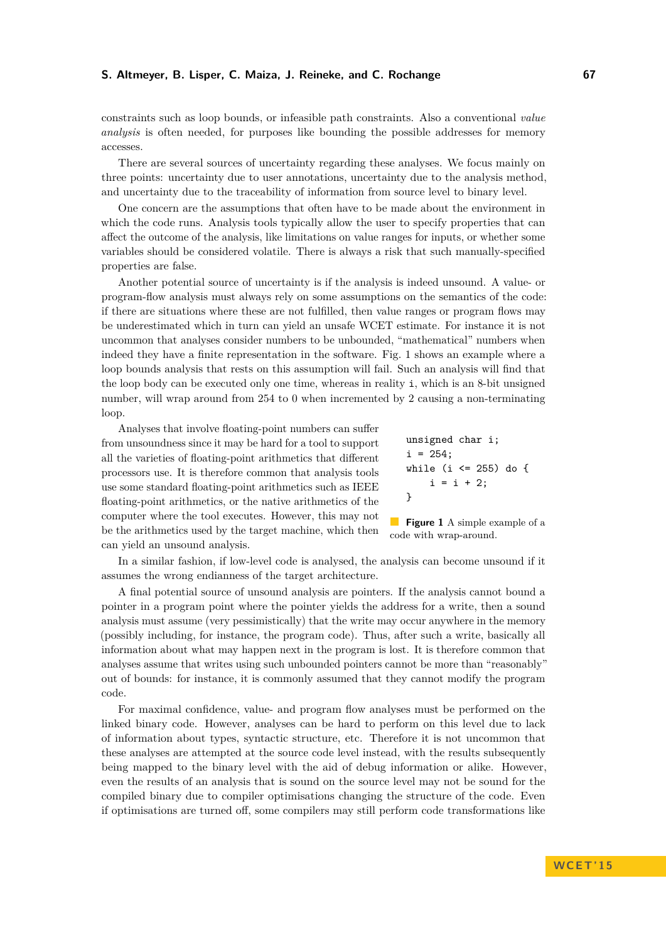#### **S. Altmeyer, B. Lisper, C. Maiza, J. Reineke, and C. Rochange 67**

constraints such as loop bounds, or infeasible path constraints. Also a conventional *value analysis* is often needed, for purposes like bounding the possible addresses for memory accesses.

There are several sources of uncertainty regarding these analyses. We focus mainly on three points: uncertainty due to user annotations, uncertainty due to the analysis method, and uncertainty due to the traceability of information from source level to binary level.

One concern are the assumptions that often have to be made about the environment in which the code runs. Analysis tools typically allow the user to specify properties that can affect the outcome of the analysis, like limitations on value ranges for inputs, or whether some variables should be considered volatile. There is always a risk that such manually-specified properties are false.

Another potential source of uncertainty is if the analysis is indeed unsound. A value- or program-flow analysis must always rely on some assumptions on the semantics of the code: if there are situations where these are not fulfilled, then value ranges or program flows may be underestimated which in turn can yield an unsafe WCET estimate. For instance it is not uncommon that analyses consider numbers to be unbounded, "mathematical" numbers when indeed they have a finite representation in the software. Fig. [1](#page-3-0) shows an example where a loop bounds analysis that rests on this assumption will fail. Such an analysis will find that the loop body can be executed only one time, whereas in reality i, which is an 8-bit unsigned number, will wrap around from 254 to 0 when incremented by 2 causing a non-terminating loop.

Analyses that involve floating-point numbers can suffer from unsoundness since it may be hard for a tool to support all the varieties of floating-point arithmetics that different processors use. It is therefore common that analysis tools use some standard floating-point arithmetics such as IEEE floating-point arithmetics, or the native arithmetics of the computer where the tool executes. However, this may not be the arithmetics used by the target machine, which then can yield an unsound analysis.

<span id="page-3-0"></span>

| unsigned char i;         |  |
|--------------------------|--|
| $i = 254$ ;              |  |
| while (i $\le$ 255) do { |  |
| $i = i + 2$ ;            |  |
| ጉ                        |  |
|                          |  |

**Figure 1** A simple example of a code with wrap-around.

In a similar fashion, if low-level code is analysed, the analysis can become unsound if it assumes the wrong endianness of the target architecture.

A final potential source of unsound analysis are pointers. If the analysis cannot bound a pointer in a program point where the pointer yields the address for a write, then a sound analysis must assume (very pessimistically) that the write may occur anywhere in the memory (possibly including, for instance, the program code). Thus, after such a write, basically all information about what may happen next in the program is lost. It is therefore common that analyses assume that writes using such unbounded pointers cannot be more than "reasonably" out of bounds: for instance, it is commonly assumed that they cannot modify the program code.

For maximal confidence, value- and program flow analyses must be performed on the linked binary code. However, analyses can be hard to perform on this level due to lack of information about types, syntactic structure, etc. Therefore it is not uncommon that these analyses are attempted at the source code level instead, with the results subsequently being mapped to the binary level with the aid of debug information or alike. However, even the results of an analysis that is sound on the source level may not be sound for the compiled binary due to compiler optimisations changing the structure of the code. Even if optimisations are turned off, some compilers may still perform code transformations like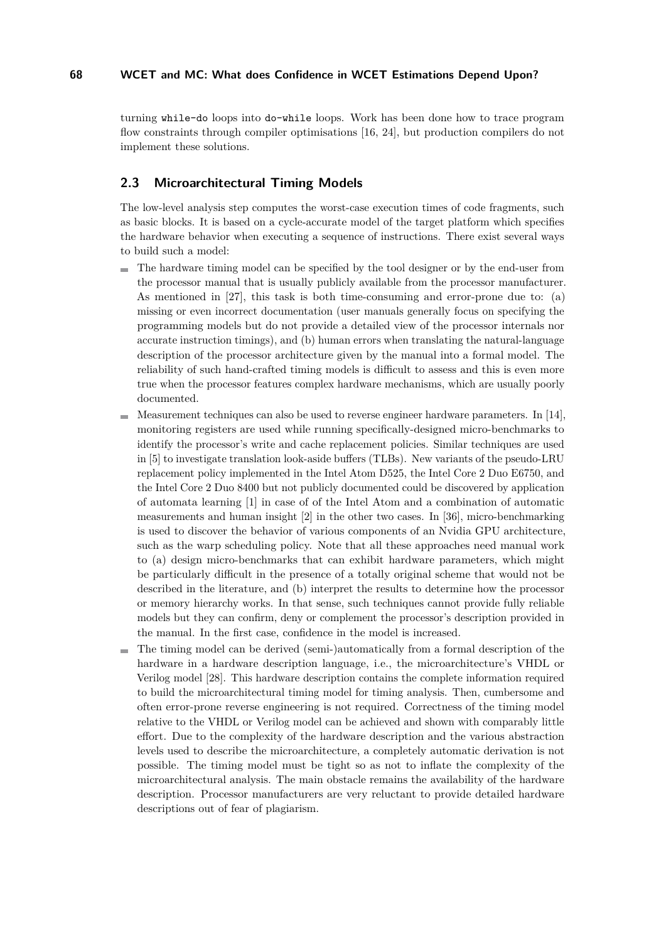turning while-do loops into do-while loops. Work has been done how to trace program flow constraints through compiler optimisations [\[16,](#page-9-1) [24\]](#page-10-2), but production compilers do not implement these solutions.

#### **2.3 Microarchitectural Timing Models**

The low-level analysis step computes the worst-case execution times of code fragments, such as basic blocks. It is based on a cycle-accurate model of the target platform which specifies the hardware behavior when executing a sequence of instructions. There exist several ways to build such a model:

- The hardware timing model can be specified by the tool designer or by the end-user from the processor manual that is usually publicly available from the processor manufacturer. As mentioned in [\[27\]](#page-10-3), this task is both time-consuming and error-prone due to: (a) missing or even incorrect documentation (user manuals generally focus on specifying the programming models but do not provide a detailed view of the processor internals nor accurate instruction timings), and (b) human errors when translating the natural-language description of the processor architecture given by the manual into a formal model. The reliability of such hand-crafted timing models is difficult to assess and this is even more true when the processor features complex hardware mechanisms, which are usually poorly documented.
- Measurement techniques can also be used to reverse engineer hardware parameters. In [\[14\]](#page-9-2), monitoring registers are used while running specifically-designed micro-benchmarks to identify the processor's write and cache replacement policies. Similar techniques are used in [\[5\]](#page-9-3) to investigate translation look-aside buffers (TLBs). New variants of the pseudo-LRU replacement policy implemented in the Intel Atom D525, the Intel Core 2 Duo E6750, and the Intel Core 2 Duo 8400 but not publicly documented could be discovered by application of automata learning [\[1\]](#page-9-4) in case of of the Intel Atom and a combination of automatic measurements and human insight [\[2\]](#page-9-5) in the other two cases. In [\[36\]](#page-10-4), micro-benchmarking is used to discover the behavior of various components of an Nvidia GPU architecture, such as the warp scheduling policy. Note that all these approaches need manual work to (a) design micro-benchmarks that can exhibit hardware parameters, which might be particularly difficult in the presence of a totally original scheme that would not be described in the literature, and (b) interpret the results to determine how the processor or memory hierarchy works. In that sense, such techniques cannot provide fully reliable models but they can confirm, deny or complement the processor's description provided in the manual. In the first case, confidence in the model is increased.
- The timing model can be derived (semi-)automatically from a formal description of the hardware in a hardware description language, i.e., the microarchitecture's VHDL or Verilog model [\[28\]](#page-10-5). This hardware description contains the complete information required to build the microarchitectural timing model for timing analysis. Then, cumbersome and often error-prone reverse engineering is not required. Correctness of the timing model relative to the VHDL or Verilog model can be achieved and shown with comparably little effort. Due to the complexity of the hardware description and the various abstraction levels used to describe the microarchitecture, a completely automatic derivation is not possible. The timing model must be tight so as not to inflate the complexity of the microarchitectural analysis. The main obstacle remains the availability of the hardware description. Processor manufacturers are very reluctant to provide detailed hardware descriptions out of fear of plagiarism.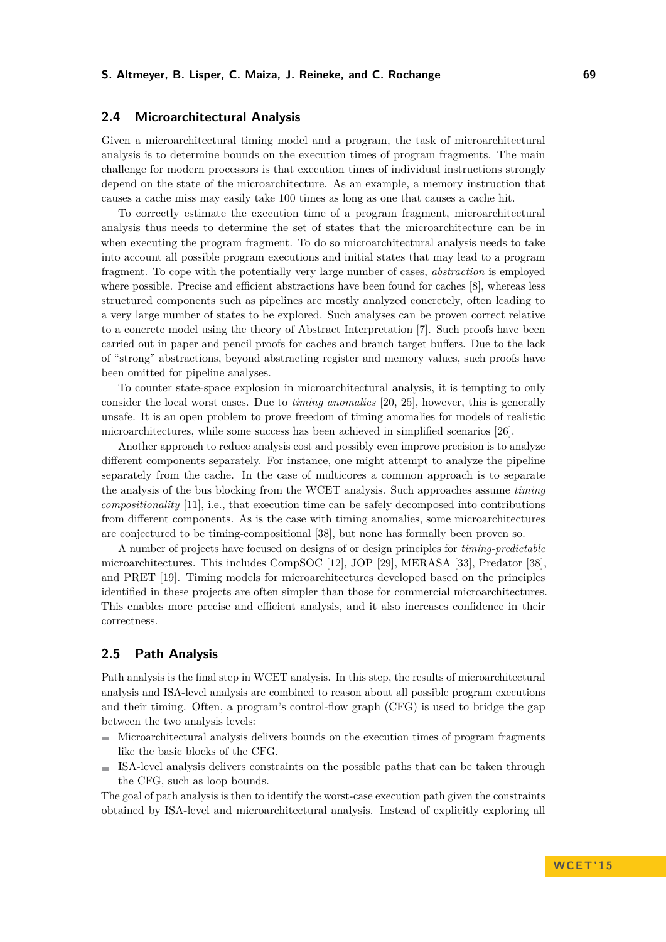#### **2.4 Microarchitectural Analysis**

Given a microarchitectural timing model and a program, the task of microarchitectural analysis is to determine bounds on the execution times of program fragments. The main challenge for modern processors is that execution times of individual instructions strongly depend on the state of the microarchitecture. As an example, a memory instruction that causes a cache miss may easily take 100 times as long as one that causes a cache hit.

To correctly estimate the execution time of a program fragment, microarchitectural analysis thus needs to determine the set of states that the microarchitecture can be in when executing the program fragment. To do so microarchitectural analysis needs to take into account all possible program executions and initial states that may lead to a program fragment. To cope with the potentially very large number of cases, *abstraction* is employed where possible. Precise and efficient abstractions have been found for caches [\[8\]](#page-9-6), whereas less structured components such as pipelines are mostly analyzed concretely, often leading to a very large number of states to be explored. Such analyses can be proven correct relative to a concrete model using the theory of Abstract Interpretation [\[7\]](#page-9-7). Such proofs have been carried out in paper and pencil proofs for caches and branch target buffers. Due to the lack of "strong" abstractions, beyond abstracting register and memory values, such proofs have been omitted for pipeline analyses.

To counter state-space explosion in microarchitectural analysis, it is tempting to only consider the local worst cases. Due to *timing anomalies* [\[20,](#page-10-6) [25\]](#page-10-7), however, this is generally unsafe. It is an open problem to prove freedom of timing anomalies for models of realistic microarchitectures, while some success has been achieved in simplified scenarios [\[26\]](#page-10-8).

Another approach to reduce analysis cost and possibly even improve precision is to analyze different components separately. For instance, one might attempt to analyze the pipeline separately from the cache. In the case of multicores a common approach is to separate the analysis of the bus blocking from the WCET analysis. Such approaches assume *timing compositionality* [\[11\]](#page-9-8), i.e., that execution time can be safely decomposed into contributions from different components. As is the case with timing anomalies, some microarchitectures are conjectured to be timing-compositional [\[38\]](#page-10-9), but none has formally been proven so.

A number of projects have focused on designs of or design principles for *timing-predictable* microarchitectures. This includes CompSOC [\[12\]](#page-9-9), JOP [\[29\]](#page-10-10), MERASA [\[33\]](#page-10-11), Predator [\[38\]](#page-10-9), and PRET [\[19\]](#page-10-12). Timing models for microarchitectures developed based on the principles identified in these projects are often simpler than those for commercial microarchitectures. This enables more precise and efficient analysis, and it also increases confidence in their correctness.

## **2.5 Path Analysis**

Path analysis is the final step in WCET analysis. In this step, the results of microarchitectural analysis and ISA-level analysis are combined to reason about all possible program executions and their timing. Often, a program's control-flow graph (CFG) is used to bridge the gap between the two analysis levels:

- Microarchitectural analysis delivers bounds on the execution times of program fragments like the basic blocks of the CFG.
- ISA-level analysis delivers constraints on the possible paths that can be taken through the CFG, such as loop bounds.

The goal of path analysis is then to identify the worst-case execution path given the constraints obtained by ISA-level and microarchitectural analysis. Instead of explicitly exploring all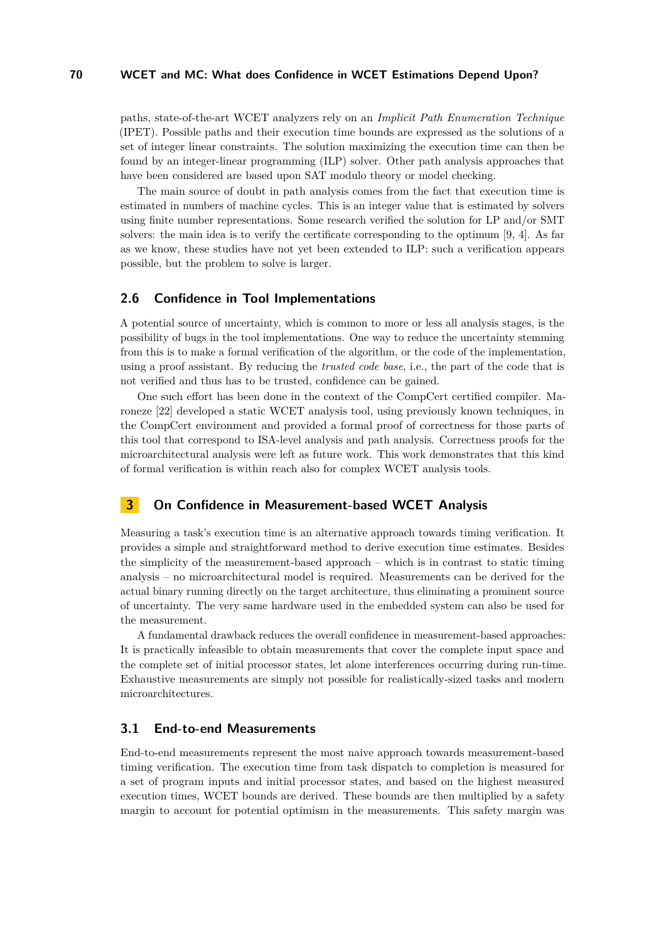paths, state-of-the-art WCET analyzers rely on an *Implicit Path Enumeration Technique* (IPET). Possible paths and their execution time bounds are expressed as the solutions of a set of integer linear constraints. The solution maximizing the execution time can then be found by an integer-linear programming (ILP) solver. Other path analysis approaches that have been considered are based upon SAT modulo theory or model checking.

The main source of doubt in path analysis comes from the fact that execution time is estimated in numbers of machine cycles. This is an integer value that is estimated by solvers using finite number representations. Some research verified the solution for LP and/or SMT solvers: the main idea is to verify the certificate corresponding to the optimum [\[9,](#page-9-10) [4\]](#page-9-11). As far as we know, these studies have not yet been extended to ILP: such a verification appears possible, but the problem to solve is larger.

#### **2.6 Confidence in Tool Implementations**

A potential source of uncertainty, which is common to more or less all analysis stages, is the possibility of bugs in the tool implementations. One way to reduce the uncertainty stemming from this is to make a formal verification of the algorithm, or the code of the implementation, using a proof assistant. By reducing the *trusted code base*, i.e., the part of the code that is not verified and thus has to be trusted, confidence can be gained.

One such effort has been done in the context of the CompCert certified compiler. Maroneze [\[22\]](#page-10-13) developed a static WCET analysis tool, using previously known techniques, in the CompCert environment and provided a formal proof of correctness for those parts of this tool that correspond to ISA-level analysis and path analysis. Correctness proofs for the microarchitectural analysis were left as future work. This work demonstrates that this kind of formal verification is within reach also for complex WCET analysis tools.

#### **3 On Confidence in Measurement-based WCET Analysis**

Measuring a task's execution time is an alternative approach towards timing verification. It provides a simple and straightforward method to derive execution time estimates. Besides the simplicity of the measurement-based approach – which is in contrast to static timing analysis – no microarchitectural model is required. Measurements can be derived for the actual binary running directly on the target architecture, thus eliminating a prominent source of uncertainty. The very same hardware used in the embedded system can also be used for the measurement.

A fundamental drawback reduces the overall confidence in measurement-based approaches: It is practically infeasible to obtain measurements that cover the complete input space and the complete set of initial processor states, let alone interferences occurring during run-time. Exhaustive measurements are simply not possible for realistically-sized tasks and modern microarchitectures.

## **3.1 End-to-end Measurements**

End-to-end measurements represent the most naive approach towards measurement-based timing verification. The execution time from task dispatch to completion is measured for a set of program inputs and initial processor states, and based on the highest measured execution times, WCET bounds are derived. These bounds are then multiplied by a safety margin to account for potential optimism in the measurements. This safety margin was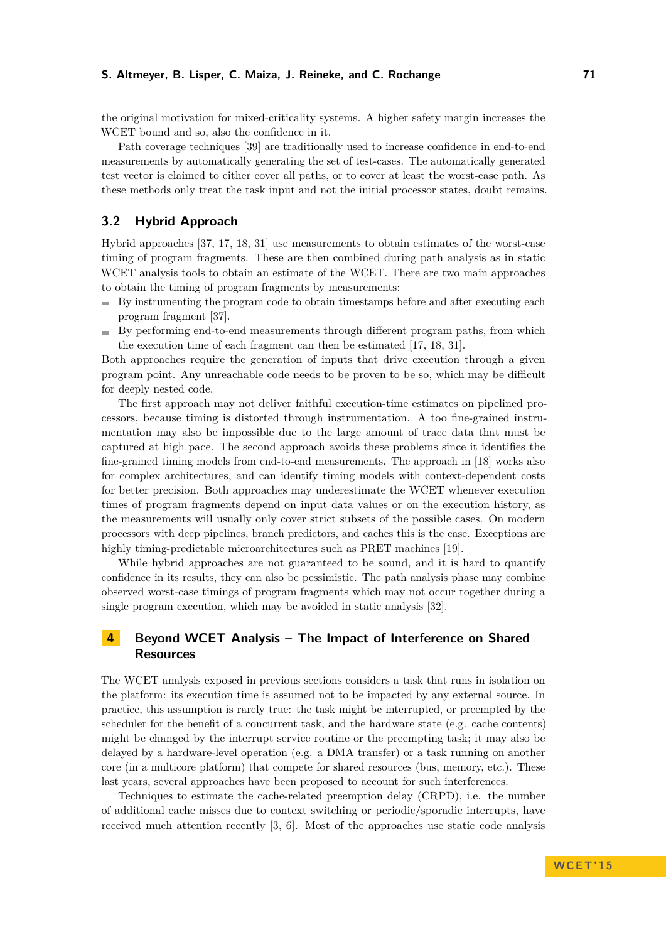#### **S. Altmeyer, B. Lisper, C. Maiza, J. Reineke, and C. Rochange 71**

the original motivation for mixed-criticality systems. A higher safety margin increases the WCET bound and so, also the confidence in it.

Path coverage techniques [\[39\]](#page-10-14) are traditionally used to increase confidence in end-to-end measurements by automatically generating the set of test-cases. The automatically generated test vector is claimed to either cover all paths, or to cover at least the worst-case path. As these methods only treat the task input and not the initial processor states, doubt remains.

#### **3.2 Hybrid Approach**

Hybrid approaches [\[37,](#page-10-15) [17,](#page-9-12) [18,](#page-10-16) [31\]](#page-10-17) use measurements to obtain estimates of the worst-case timing of program fragments. These are then combined during path analysis as in static WCET analysis tools to obtain an estimate of the WCET. There are two main approaches to obtain the timing of program fragments by measurements:

- $\blacksquare$  By instrumenting the program code to obtain timestamps before and after executing each program fragment [\[37\]](#page-10-15).
- By performing end-to-end measurements through different program paths, from which the execution time of each fragment can then be estimated [\[17,](#page-9-12) [18,](#page-10-16) [31\]](#page-10-17).

Both approaches require the generation of inputs that drive execution through a given program point. Any unreachable code needs to be proven to be so, which may be difficult for deeply nested code.

The first approach may not deliver faithful execution-time estimates on pipelined processors, because timing is distorted through instrumentation. A too fine-grained instrumentation may also be impossible due to the large amount of trace data that must be captured at high pace. The second approach avoids these problems since it identifies the fine-grained timing models from end-to-end measurements. The approach in [\[18\]](#page-10-16) works also for complex architectures, and can identify timing models with context-dependent costs for better precision. Both approaches may underestimate the WCET whenever execution times of program fragments depend on input data values or on the execution history, as the measurements will usually only cover strict subsets of the possible cases. On modern processors with deep pipelines, branch predictors, and caches this is the case. Exceptions are highly timing-predictable microarchitectures such as PRET machines [\[19\]](#page-10-12).

While hybrid approaches are not guaranteed to be sound, and it is hard to quantify confidence in its results, they can also be pessimistic. The path analysis phase may combine observed worst-case timings of program fragments which may not occur together during a single program execution, which may be avoided in static analysis [\[32\]](#page-10-18).

### **4 Beyond WCET Analysis – The Impact of Interference on Shared Resources**

The WCET analysis exposed in previous sections considers a task that runs in isolation on the platform: its execution time is assumed not to be impacted by any external source. In practice, this assumption is rarely true: the task might be interrupted, or preempted by the scheduler for the benefit of a concurrent task, and the hardware state (e.g. cache contents) might be changed by the interrupt service routine or the preempting task; it may also be delayed by a hardware-level operation (e.g. a DMA transfer) or a task running on another core (in a multicore platform) that compete for shared resources (bus, memory, etc.). These last years, several approaches have been proposed to account for such interferences.

Techniques to estimate the cache-related preemption delay (CRPD), i.e. the number of additional cache misses due to context switching or periodic/sporadic interrupts, have received much attention recently [\[3,](#page-9-13) [6\]](#page-9-14). Most of the approaches use static code analysis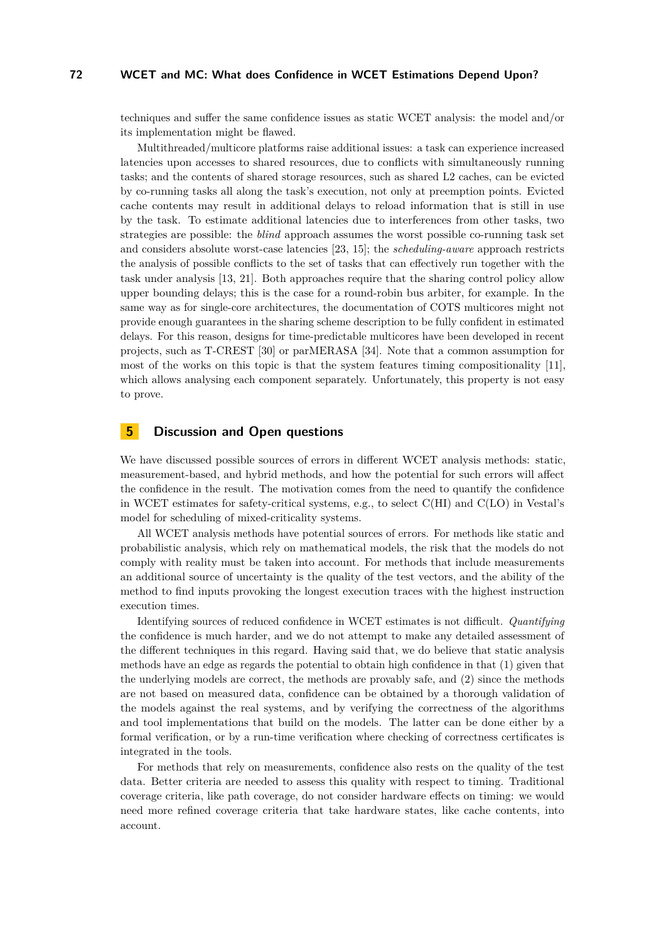techniques and suffer the same confidence issues as static WCET analysis: the model and/or its implementation might be flawed.

Multithreaded/multicore platforms raise additional issues: a task can experience increased latencies upon accesses to shared resources, due to conflicts with simultaneously running tasks; and the contents of shared storage resources, such as shared L2 caches, can be evicted by co-running tasks all along the task's execution, not only at preemption points. Evicted cache contents may result in additional delays to reload information that is still in use by the task. To estimate additional latencies due to interferences from other tasks, two strategies are possible: the *blind* approach assumes the worst possible co-running task set and considers absolute worst-case latencies [\[23,](#page-10-19) [15\]](#page-9-15); the *scheduling-aware* approach restricts the analysis of possible conflicts to the set of tasks that can effectively run together with the task under analysis [\[13,](#page-9-16) [21\]](#page-10-20). Both approaches require that the sharing control policy allow upper bounding delays; this is the case for a round-robin bus arbiter, for example. In the same way as for single-core architectures, the documentation of COTS multicores might not provide enough guarantees in the sharing scheme description to be fully confident in estimated delays. For this reason, designs for time-predictable multicores have been developed in recent projects, such as T-CREST [\[30\]](#page-10-21) or parMERASA [\[34\]](#page-10-22). Note that a common assumption for most of the works on this topic is that the system features timing compositionality [\[11\]](#page-9-8), which allows analysing each component separately. Unfortunately, this property is not easy to prove.

### **5 Discussion and Open questions**

We have discussed possible sources of errors in different WCET analysis methods: static, measurement-based, and hybrid methods, and how the potential for such errors will affect the confidence in the result. The motivation comes from the need to quantify the confidence in WCET estimates for safety-critical systems, e.g., to select C(HI) and C(LO) in Vestal's model for scheduling of mixed-criticality systems.

All WCET analysis methods have potential sources of errors. For methods like static and probabilistic analysis, which rely on mathematical models, the risk that the models do not comply with reality must be taken into account. For methods that include measurements an additional source of uncertainty is the quality of the test vectors, and the ability of the method to find inputs provoking the longest execution traces with the highest instruction execution times.

Identifying sources of reduced confidence in WCET estimates is not difficult. *Quantifying* the confidence is much harder, and we do not attempt to make any detailed assessment of the different techniques in this regard. Having said that, we do believe that static analysis methods have an edge as regards the potential to obtain high confidence in that (1) given that the underlying models are correct, the methods are provably safe, and (2) since the methods are not based on measured data, confidence can be obtained by a thorough validation of the models against the real systems, and by verifying the correctness of the algorithms and tool implementations that build on the models. The latter can be done either by a formal verification, or by a run-time verification where checking of correctness certificates is integrated in the tools.

For methods that rely on measurements, confidence also rests on the quality of the test data. Better criteria are needed to assess this quality with respect to timing. Traditional coverage criteria, like path coverage, do not consider hardware effects on timing: we would need more refined coverage criteria that take hardware states, like cache contents, into account.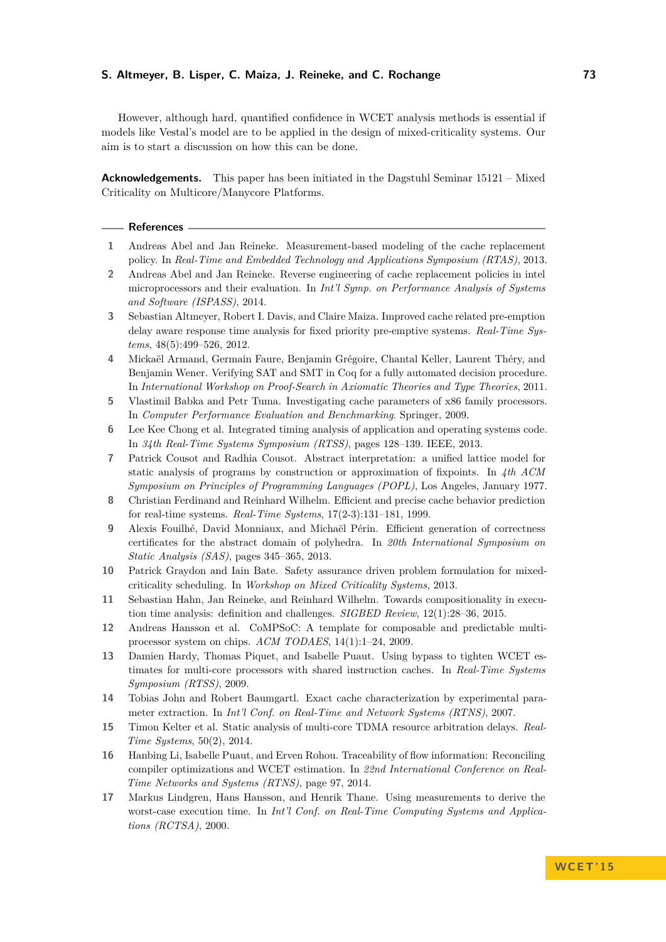#### **S. Altmeyer, B. Lisper, C. Maiza, J. Reineke, and C. Rochange 73**

However, although hard, quantified confidence in WCET analysis methods is essential if models like Vestal's model are to be applied in the design of mixed-criticality systems. Our aim is to start a discussion on how this can be done.

**Acknowledgements.** This paper has been initiated in the Dagstuhl Seminar 15121 – Mixed Criticality on Multicore/Manycore Platforms.

#### **References**

- <span id="page-9-4"></span>**1** Andreas Abel and Jan Reineke. Measurement-based modeling of the cache replacement policy. In *Real-Time and Embedded Technology and Applications Symposium (RTAS)*, 2013.
- <span id="page-9-5"></span>**2** Andreas Abel and Jan Reineke. Reverse engineering of cache replacement policies in intel microprocessors and their evaluation. In *Int'l Symp. on Performance Analysis of Systems and Software (ISPASS)*, 2014.
- <span id="page-9-13"></span>**3** Sebastian Altmeyer, Robert I. Davis, and Claire Maiza. Improved cache related pre-emption delay aware response time analysis for fixed priority pre-emptive systems. *Real-Time Systems*, 48(5):499–526, 2012.
- <span id="page-9-11"></span>**4** Mickaël Armand, Germain Faure, Benjamin Grégoire, Chantal Keller, Laurent Théry, and Benjamin Wener. Verifying SAT and SMT in Coq for a fully automated decision procedure. In *International Workshop on Proof-Search in Axiomatic Theories and Type Theories*, 2011.
- <span id="page-9-3"></span>**5** Vlastimil Babka and Petr Tuma. Investigating cache parameters of x86 family processors. In *Computer Performance Evaluation and Benchmarking*. Springer, 2009.
- <span id="page-9-14"></span>**6** Lee Kee Chong et al. Integrated timing analysis of application and operating systems code. In *34th Real-Time Systems Symposium (RTSS)*, pages 128–139. IEEE, 2013.
- <span id="page-9-7"></span>**7** Patrick Cousot and Radhia Cousot. Abstract interpretation: a unified lattice model for static analysis of programs by construction or approximation of fixpoints. In *4th ACM Symposium on Principles of Programming Languages (POPL)*, Los Angeles, January 1977.
- <span id="page-9-6"></span>**8** Christian Ferdinand and Reinhard Wilhelm. Efficient and precise cache behavior prediction for real-time systems. *Real-Time Systems*, 17(2-3):131–181, 1999.
- <span id="page-9-10"></span>**9** Alexis Fouilhé, David Monniaux, and Michaël Périn. Efficient generation of correctness certificates for the abstract domain of polyhedra. In *20th International Symposium on Static Analysis (SAS)*, pages 345–365, 2013.
- <span id="page-9-0"></span>**10** Patrick Graydon and Iain Bate. Safety assurance driven problem formulation for mixedcriticality scheduling. In *Workshop on Mixed Criticality Systems*, 2013.
- <span id="page-9-8"></span>**11** Sebastian Hahn, Jan Reineke, and Reinhard Wilhelm. Towards compositionality in execution time analysis: definition and challenges. *SIGBED Review*, 12(1):28–36, 2015.
- <span id="page-9-9"></span>**12** Andreas Hansson et al. CoMPSoC: A template for composable and predictable multiprocessor system on chips. *ACM TODAES*, 14(1):1–24, 2009.
- <span id="page-9-16"></span>**13** Damien Hardy, Thomas Piquet, and Isabelle Puaut. Using bypass to tighten WCET estimates for multi-core processors with shared instruction caches. In *Real-Time Systems Symposium (RTSS)*, 2009.
- <span id="page-9-2"></span>**14** Tobias John and Robert Baumgartl. Exact cache characterization by experimental parameter extraction. In *Int'l Conf. on Real-Time and Network Systems (RTNS)*, 2007.
- <span id="page-9-15"></span>**15** Timon Kelter et al. Static analysis of multi-core TDMA resource arbitration delays. *Real-Time Systems*, 50(2), 2014.
- <span id="page-9-1"></span>**16** Hanbing Li, Isabelle Puaut, and Erven Rohou. Traceability of flow information: Reconciling compiler optimizations and WCET estimation. In *22nd International Conference on Real-Time Networks and Systems (RTNS)*, page 97, 2014.
- <span id="page-9-12"></span>**17** Markus Lindgren, Hans Hansson, and Henrik Thane. Using measurements to derive the worst-case execution time. In *Int'l Conf. on Real-Time Computing Systems and Applications (RCTSA)*, 2000.